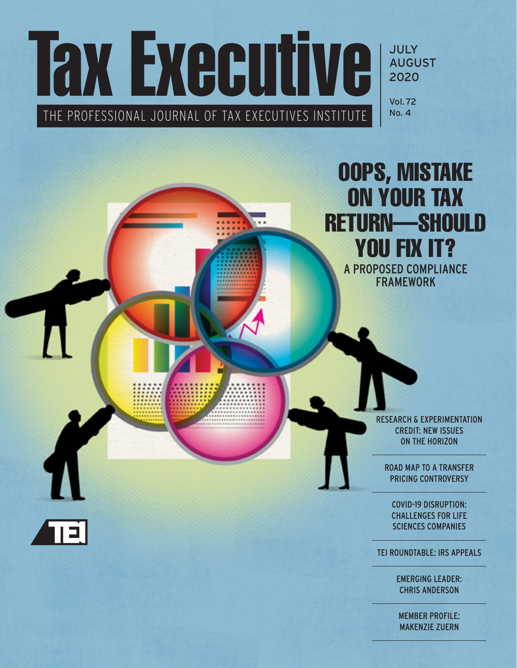# Tax Executive THE PROFESSIONAL JOURNAL OF TAX EXECUTIVES INSTITUTE

**JULY** AUGUST 2020

Vol. 72 No. 4



TEI ROUNDTABLE: IRS APPEALS

EMERGING LEADER: CHRIS ANDERSON

MEMBER PROFILE: MAKENZIE ZUERN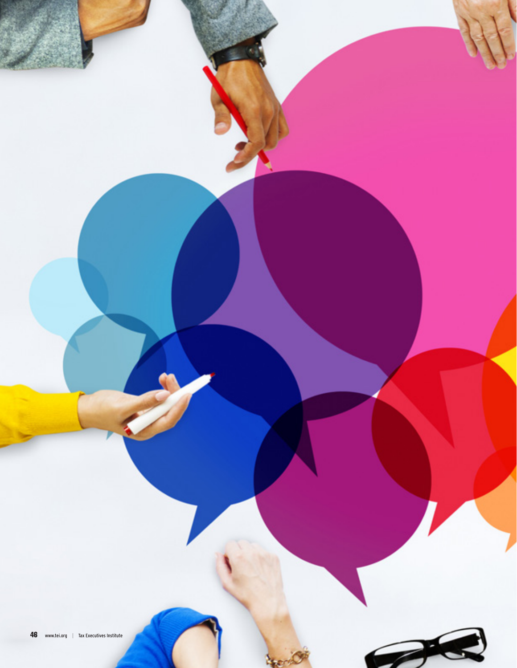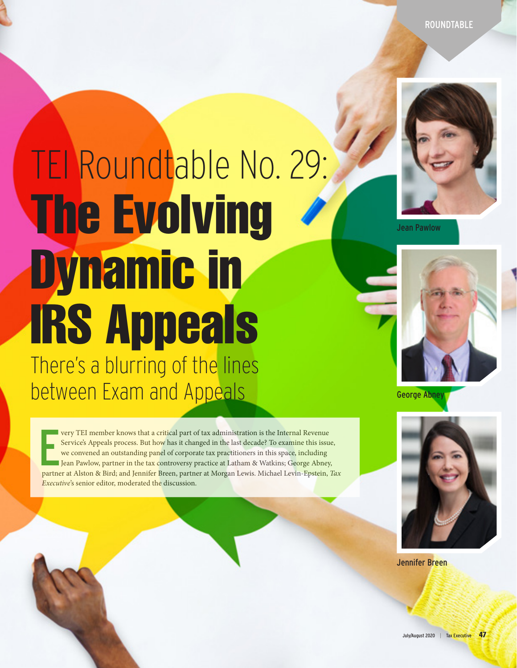ROUNDTABLE

## TEI Roundtable No. 29: **The Evolving** Dynamic in IRS Appeals There's a blurring of the lines between Exam and Appeals

Jean Pawlow



George Abney

Figure 1.1 The service's Appeals process. But how has it changed in the last decade? To examine this issue, we convened an outstanding panel of corporate tax practitioners in this space, including Jean Pawlow, partner in t very TEI member knows that a critical part of tax administration is the Internal Revenue Service's Appeals process. But how has it changed in the last decade? To examine this issue, we convened an outstanding panel of corporate tax practitioners in this space, including I Jean Pawlow, partner in the tax controversy practice at Latham & Watkins; George Abney, *Executive*'s senior editor, moderated the discussion.



Jennifer Breen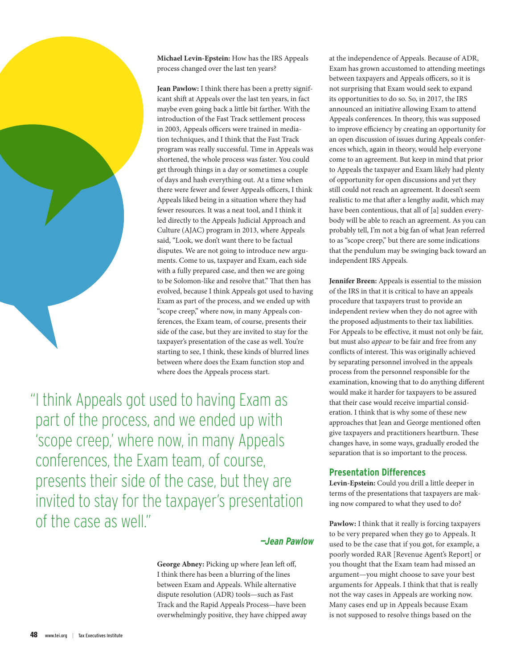

**Michael Levin-Epstein:** How has the IRS Appeals process changed over the last ten years?

**Jean Pawlow:** I think there has been a pretty significant shift at Appeals over the last ten years, in fact maybe even going back a little bit farther. With the introduction of the Fast Track settlement process in 2003, Appeals officers were trained in mediation techniques, and I think that the Fast Track program was really successful. Time in Appeals was shortened, the whole process was faster. You could get through things in a day or sometimes a couple of days and hash everything out. At a time when there were fewer and fewer Appeals officers, I think Appeals liked being in a situation where they had fewer resources. It was a neat tool, and I think it led directly to the Appeals Judicial Approach and Culture (AJAC) program in 2013, where Appeals said, "Look, we don't want there to be factual disputes. We are not going to introduce new arguments. Come to us, taxpayer and Exam, each side with a fully prepared case, and then we are going to be Solomon-like and resolve that." That then has evolved, because I think Appeals got used to having Exam as part of the process, and we ended up with "scope creep," where now, in many Appeals conferences, the Exam team, of course, presents their side of the case, but they are invited to stay for the taxpayer's presentation of the case as well. You're starting to see, I think, these kinds of blurred lines between where does the Exam function stop and where does the Appeals process start.

"I think Appeals got used to having Exam as part of the process, and we ended up with 'scope creep,' where now, in many Appeals conferences, the Exam team, of course, presents their side of the case, but they are invited to stay for the taxpayer's presentation of the case as well."

### *—Jean Pawlow*

**George Abney:** Picking up where Jean left off, I think there has been a blurring of the lines between Exam and Appeals. While alternative dispute resolution (ADR) tools—such as Fast Track and the Rapid Appeals Process—have been overwhelmingly positive, they have chipped away at the independence of Appeals. Because of ADR, Exam has grown accustomed to attending meetings between taxpayers and Appeals officers, so it is not surprising that Exam would seek to expand its opportunities to do so. So, in 2017, the IRS announced an initiative allowing Exam to attend Appeals conferences. In theory, this was supposed to improve efficiency by creating an opportunity for an open discussion of issues during Appeals conferences which, again in theory, would help everyone come to an agreement. But keep in mind that prior to Appeals the taxpayer and Exam likely had plenty of opportunity for open discussions and yet they still could not reach an agreement. It doesn't seem realistic to me that after a lengthy audit, which may have been contentious, that all of [a] sudden everybody will be able to reach an agreement. As you can probably tell, I'm not a big fan of what Jean referred to as "scope creep," but there are some indications that the pendulum may be swinging back toward an independent IRS Appeals*.* 

**Jennifer Breen:** Appeals is essential to the mission of the IRS in that it is critical to have an appeals procedure that taxpayers trust to provide an independent review when they do not agree with the proposed adjustments to their tax liabilities. For Appeals to be effective, it must not only be fair, but must also *appear* to be fair and free from any conflicts of interest. This was originally achieved by separating personnel involved in the appeals process from the personnel responsible for the examination, knowing that to do anything different would make it harder for taxpayers to be assured that their case would receive impartial consideration. I think that is why some of these new approaches that Jean and George mentioned often give taxpayers and practitioners heartburn. These changes have, in some ways, gradually eroded the separation that is so important to the process.

### **Presentation Differences**

**Levin-Epstein:** Could you drill a little deeper in terms of the presentations that taxpayers are making now compared to what they used to do?

**Pawlow:** I think that it really is forcing taxpayers to be very prepared when they go to Appeals. It used to be the case that if you got, for example, a poorly worded RAR [Revenue Agent's Report] or you thought that the Exam team had missed an argument—you might choose to save your best arguments for Appeals. I think that that is really not the way cases in Appeals are working now. Many cases end up in Appeals because Exam is not supposed to resolve things based on the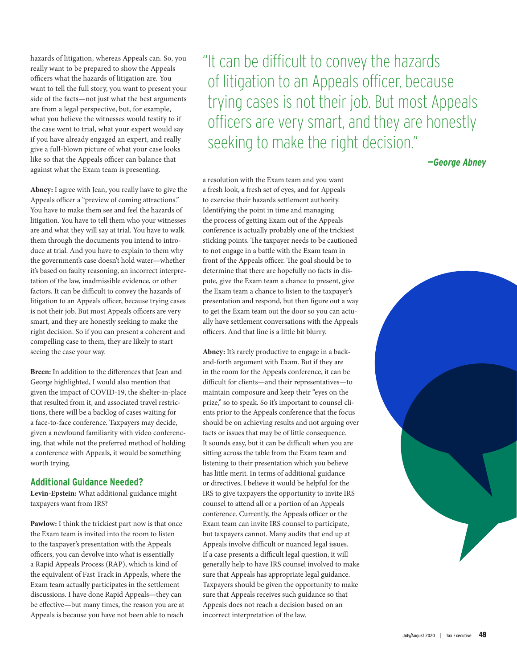hazards of litigation, whereas Appeals can. So, you really want to be prepared to show the Appeals officers what the hazards of litigation are. You want to tell the full story, you want to present your side of the facts—not just what the best arguments are from a legal perspective, but, for example, what you believe the witnesses would testify to if the case went to trial, what your expert would say if you have already engaged an expert, and really give a full-blown picture of what your case looks like so that the Appeals officer can balance that against what the Exam team is presenting.

**Abney:** I agree with Jean, you really have to give the Appeals officer a "preview of coming attractions." You have to make them see and feel the hazards of litigation. You have to tell them who your witnesses are and what they will say at trial. You have to walk them through the documents you intend to introduce at trial. And you have to explain to them why the government's case doesn't hold water—whether it's based on faulty reasoning, an incorrect interpretation of the law, inadmissible evidence, or other factors. It can be difficult to convey the hazards of litigation to an Appeals officer, because trying cases is not their job. But most Appeals officers are very smart, and they are honestly seeking to make the right decision. So if you can present a coherent and compelling case to them, they are likely to start seeing the case your way.

**Breen:** In addition to the differences that Jean and George highlighted, I would also mention that given the impact of COVID-19, the shelter-in-place that resulted from it, and associated travel restrictions, there will be a backlog of cases waiting for a face-to-face conference. Taxpayers may decide, given a newfound familiarity with video conferencing, that while not the preferred method of holding a conference with Appeals, it would be something worth trying.

### **Additional Guidance Needed?**

**Levin-Epstein:** What additional guidance might taxpayers want from IRS?

**Pawlow:** I think the trickiest part now is that once the Exam team is invited into the room to listen to the taxpayer's presentation with the Appeals officers, you can devolve into what is essentially a Rapid Appeals Process (RAP), which is kind of the equivalent of Fast Track in Appeals, where the Exam team actually participates in the settlement discussions. I have done Rapid Appeals—they can be effective—but many times, the reason you are at Appeals is because you have not been able to reach "It can be difficult to convey the hazards of litigation to an Appeals officer, because trying cases is not their job. But most Appeals officers are very smart, and they are honestly seeking to make the right decision."

*—George Abney*

a resolution with the Exam team and you want a fresh look, a fresh set of eyes, and for Appeals to exercise their hazards settlement authority. Identifying the point in time and managing the process of getting Exam out of the Appeals conference is actually probably one of the trickiest sticking points. The taxpayer needs to be cautioned to not engage in a battle with the Exam team in front of the Appeals officer. The goal should be to determine that there are hopefully no facts in dispute, give the Exam team a chance to present, give the Exam team a chance to listen to the taxpayer's presentation and respond, but then figure out a way to get the Exam team out the door so you can actually have settlement conversations with the Appeals officers. And that line is a little bit blurry.

**Abney:** It's rarely productive to engage in a backand-forth argument with Exam. But if they are in the room for the Appeals conference, it can be difficult for clients—and their representatives—to maintain composure and keep their "eyes on the prize," so to speak. So it's important to counsel clients prior to the Appeals conference that the focus should be on achieving results and not arguing over facts or issues that may be of little consequence. It sounds easy, but it can be difficult when you are sitting across the table from the Exam team and listening to their presentation which you believe has little merit. In terms of additional guidance or directives, I believe it would be helpful for the IRS to give taxpayers the opportunity to invite IRS counsel to attend all or a portion of an Appeals conference. Currently, the Appeals officer or the Exam team can invite IRS counsel to participate, but taxpayers cannot. Many audits that end up at Appeals involve difficult or nuanced legal issues. If a case presents a difficult legal question, it will generally help to have IRS counsel involved to make sure that Appeals has appropriate legal guidance. Taxpayers should be given the opportunity to make sure that Appeals receives such guidance so that Appeals does not reach a decision based on an incorrect interpretation of the law.